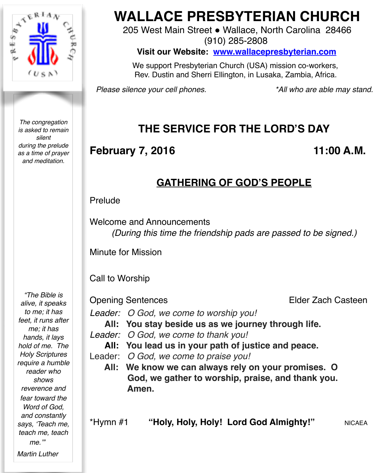

*The congregation is asked to remain silent during the prelude as a time of prayer and meditation.*

# **WALLACE PRESBYTERIAN CHURCH**

205 West Main Street . Wallace, North Carolina 28466

(910) 285-2808

**Visit our Website: [www.wallacepresbyterian.com](http://www.wallacepresbyterian.com)**

 We support Presbyterian Church (USA) mission co-workers, Rev. Dustin and Sherri Ellington, in Lusaka, Zambia, Africa.

*Please silence your cell phones. \*All who are able may stand.*

## **THE SERVICE FOR THE LORD'S DAY**

## **February 7, 2016** 11:00 A.M.

## **GATHERING OF GOD'S PEOPLE**

### Prelude

Welcome and Announcements *(During this time the friendship pads are passed to be signed.)*

Minute for Mission

## Call to Worship

**Opening Sentences** *Elder Zach Casteen* 

- *Leader: O God, we come to worship you!*
	- **All: You stay beside us as we journey through life.**
- *Leader: O God, we come to thank you!*
	- **All: You lead us in your path of justice and peace.**
- Leader: *O God, we come to praise you!*
	- **All: We know we can always rely on your promises. O God, we gather to worship, praise, and thank you. Amen.**

*"The Bible is alive, it speaks to me; it has feet, it runs after me; it has hands, it lays hold of me. The Holy Scriptures require a humble reader who shows reverence and fear toward the Word of God, and constantly says, 'Teach me, teach me, teach me.'"*

*Martin Luther*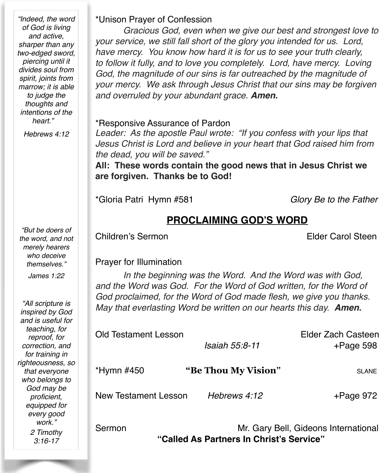*"Indeed, the word of God is living and active, sharper than any two-edged sword, piercing until it divides soul from spirit, joints from marrow; it is able to judge the thoughts and intentions of the heart."*

*Hebrews 4:12*

*"But be doers of the word, and not merely hearers who deceive themselves."*

*James 1:22*

*"All scripture is inspired by God and is useful for teaching, for reproof, for correction, and for training in righteousness, so that everyone who belongs to God may be proficient, equipped for every good*  work." *2 Timothy 3:16-17*

#### \*Unison Prayer of Confession

*Gracious God, even when we give our best and strongest love to your service, we still fall short of the glory you intended for us. Lord, have mercy. You know how hard it is for us to see your truth clearly, to follow it fully, and to love you completely. Lord, have mercy. Loving God, the magnitude of our sins is far outreached by the magnitude of your mercy. We ask through Jesus Christ that our sins may be forgiven and overruled by your abundant grace. Amen.*

#### \*Responsive Assurance of Pardon

*Leader: As the apostle Paul wrote: "If you confess with your lips that Jesus Christ is Lord and believe in your heart that God raised him from the dead, you will be saved."*

**All: These words contain the good news that in Jesus Christ we are forgiven. Thanks be to God!**

\*Gloria Patri Hymn #581 *Glory Be to the Father*

## **PROCLAIMING GOD'S WORD**

Children's Sermon **Elder Carol Steen** 

#### Prayer for Illumination

*In the beginning was the Word. And the Word was with God, and the Word was God. For the Word of God written, for the Word of God proclaimed, for the Word of God made flesh, we give you thanks. May that everlasting Word be written on our hearts this day. Amen.*

| Old Testament Lesson<br><i>Isaiah 55:8-11</i> |                     | Elder Zach Casteen<br>$+$ Page 598 |
|-----------------------------------------------|---------------------|------------------------------------|
| *Hymn #450                                    | "Be Thou My Vision" | <b>SLANE</b>                       |
| <b>New Testament Lesson</b>                   | Hebrews 4:12        | $+$ Page 972                       |

Sermon Mr. Gary Bell, Gideons International **"Called As Partners In Christ's Service"**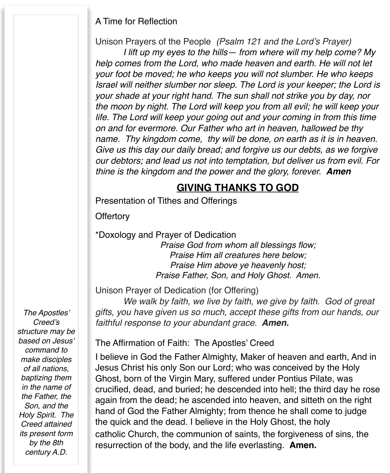#### A Time for Reflection

Unison Prayers of the People *(Psalm 121 and the Lord's Prayer)*

*I lift up my eyes to the hills— from where will my help come? My help comes from the Lord, who made heaven and earth. He will not let your foot be moved; he who keeps you will not slumber. He who keeps Israel will neither slumber nor sleep. The Lord is your keeper; the Lord is your shade at your right hand. The sun shall not strike you by day, nor the moon by night. The Lord will keep you from all evil; he will keep your life. The Lord will keep your going out and your coming in from this time on and for evermore. Our Father who art in heaven, hallowed be thy name. Thy kingdom come, thy will be done, on earth as it is in heaven. Give us this day our daily bread; and forgive us our debts, as we forgive our debtors; and lead us not into temptation, but deliver us from evil. For thine is the kingdom and the power and the glory, forever. Amen*! !

## **GIVING THANKS TO GOD**

Presentation of Tithes and Offerings

**Offertory** 

\*Doxology and Prayer of Dedication

*Praise God from whom all blessings flow; Praise Him all creatures here below; Praise Him above ye heavenly host; Praise Father, Son, and Holy Ghost. Amen.*

Unison Prayer of Dedication (for Offering)

*We walk by faith, we live by faith, we give by faith. God of great gifts, you have given us so much, accept these gifts from our hands, our faithful response to your abundant grace. Amen.*

*The Apostles' Creed's structure may be based on Jesus' command to make disciples of all nations, baptizing them in the name of the Father, the Son, and the Holy Spirit. The Creed attained its present form by the 8th century A.D.*

The Affirmation of Faith: The Apostles' Creed

I believe in God the Father Almighty, Maker of heaven and earth, And in Jesus Christ his only Son our Lord; who was conceived by the Holy Ghost, born of the Virgin Mary, suffered under Pontius Pilate, was crucified, dead, and buried; he descended into hell; the third day he rose again from the dead; he ascended into heaven, and sitteth on the right hand of God the Father Almighty; from thence he shall come to judge the quick and the dead. I believe in the Holy Ghost, the holy catholic Church, the communion of saints, the forgiveness of sins, the resurrection of the body, and the life everlasting. **Amen.**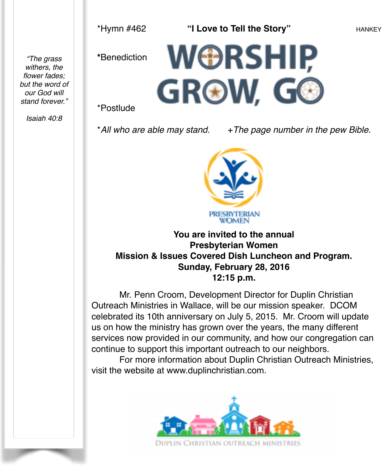\*Hymn #462 **"I Love to Tell the Story"** HANKEY

**\***Benediction

*"The grass withers, the flower fades; but the word of our God will stand forever."*



\*Postlude

*Isaiah 40:8*

\*<sup>*All who are able may stand.* +*The page number in the pew Bible.*</sup>



**You are invited to the annual Presbyterian Women Mission & Issues Covered Dish Luncheon and Program. Sunday, February 28, 2016 12:15 p.m.**

Mr. Penn Croom, Development Director for Duplin Christian Outreach Ministries in Wallace, will be our mission speaker. DCOM celebrated its 10th anniversary on July 5, 2015. Mr. Croom will update us on how the ministry has grown over the years, the many different services now provided in our community, and how our congregation can continue to support this important outreach to our neighbors.

For more information about Duplin Christian Outreach Ministries, visit the website at [www.duplinchristian.com](http://www.duplinchristian.com).

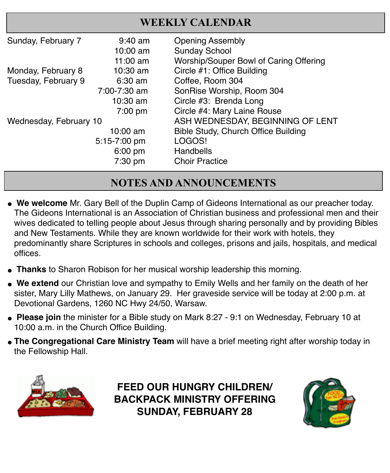| <b>WEEKLY CALENDAR</b> |                                 |                                                 |
|------------------------|---------------------------------|-------------------------------------------------|
| Sunday, February 7     | $9:40 \text{ am}$<br>$10:00$ am | <b>Opening Assembly</b><br><b>Sunday School</b> |
|                        | 11:00 $am$                      | Worship/Souper Bowl of Caring Offering          |
| Monday, February 8     | $10:30$ am                      | Circle #1: Office Building                      |
| Tuesday, February 9    | $6:30$ am                       | Coffee, Room 304                                |
|                        | 7:00-7:30 am                    | SonRise Worship, Room 304                       |
|                        | $10:30$ am                      | Circle #3: Brenda Long                          |
|                        | 7:00 pm                         | Circle #4: Mary Laine Rouse                     |
| Wednesday, February 10 |                                 | ASH WEDNESDAY, BEGINNING OF LENT                |
|                        | $10:00$ am                      | Bible Study, Church Office Building             |
|                        | 5:15-7:00 pm                    | LOGOS!                                          |
|                        | $6:00$ pm                       | Handbells                                       |
|                        | 7:30 pm                         | <b>Choir Practice</b>                           |

## **NOTES AND ANNOUNCEMENTS**

- **" We welcome** Mr. Gary Bell of the Duplin Camp of Gideons International as our preacher today. The Gideons International is an Association of Christian business and professional men and their wives dedicated to telling people about Jesus through sharing personally and by providing Bibles and New Testaments. While they are known worldwide for their work with hotels, they predominantly share Scriptures in schools and colleges, prisons and jails, hospitals, and medical offices.
- **Thanks** to Sharon Robison for her musical worship leadership this morning.
- We extend our Christian love and sympathy to Emily Wells and her family on the death of her sister, Mary Lilly Mathews, on January 29. Her graveside service will be today at 2:00 p.m. at Devotional Gardens, 1260 NC Hwy 24/50, Warsaw.
- " **Please join** the minister for a Bible study on Mark 8:27 9:1 on Wednesday, February 10 at 10:00 a.m. in the Church Office Building.
- **The Congregational Care Ministry Team** will have a brief meeting right after worship today in the Fellowship Hall.



**FEED OUR HUNGRY CHILDREN/ BACKPACK MINISTRY OFFERING SUNDAY, FEBRUARY 28**